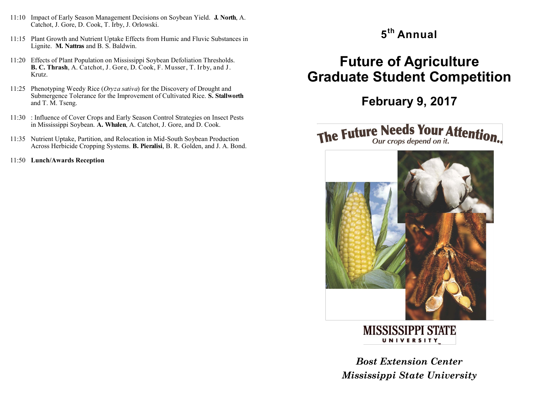- 11:10 Impact of Early Season Management Decisions on Soybean Yield. **J. North**, A. Catchot, J. Gore, D. Cook, T. Irby, J. Orlowski.
- 11:15 Plant Growth and Nutrient Uptake Effects from Humic and Fluvic Substances in Lignite. **M. Nattras** and B. S. Baldwin.
- 11:20 Effects of Plant Population on Mississippi Soybean Defoliation Thresholds. **B. C. Thrash**, A. Catchot, J. Gore, D. Cook, F. Musser, T. Irby, and J. Krutz.
- 11:25 Phenotyping Weedy Rice (*Oryza sativa*) for the Discovery of Drought and Submergence Tolerance for the Improvement of Cultivated Rice. **S. Stallworth** and T. M. Tseng.
- 11:30 : Influence of Cover Crops and Early Season Control Strategies on Insect Pests in Mississippi Soybean. **A. Whalen**, A. Catchot, J. Gore, and D. Cook.
- 11:35 Nutrient Uptake, Partition, and Relocation in Mid-South Soybean Production Across Herbicide Cropping Systems. **B. Pieralisi**, B. R. Golden, and J. A. Bond.
- 11:50 **Lunch/Awards Reception**

### **5 th Annual**

# **Future of Agriculture Graduate Student Competition**

## **February 9, 2017**

### The Future Needs Your Attention. Our crops depend on it.



**MISSISSIPPI STATE UNIVERSITY** 

*Bost Extension Center Mississippi State University*